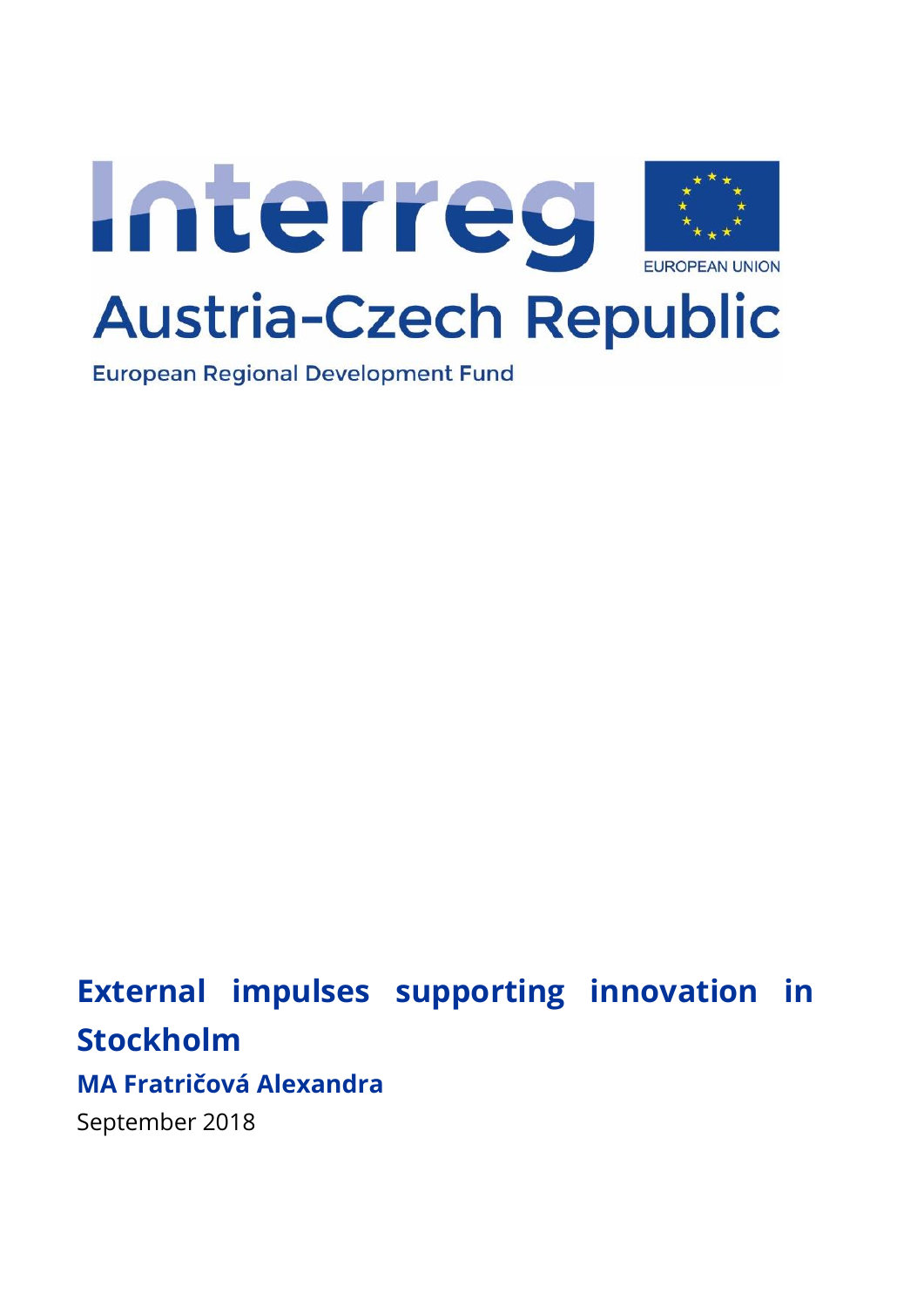

**European Regional Development Fund** 

# **External impulses supporting innovation in Stockholm**

## **MA Fratričová Alexandra**

September 2018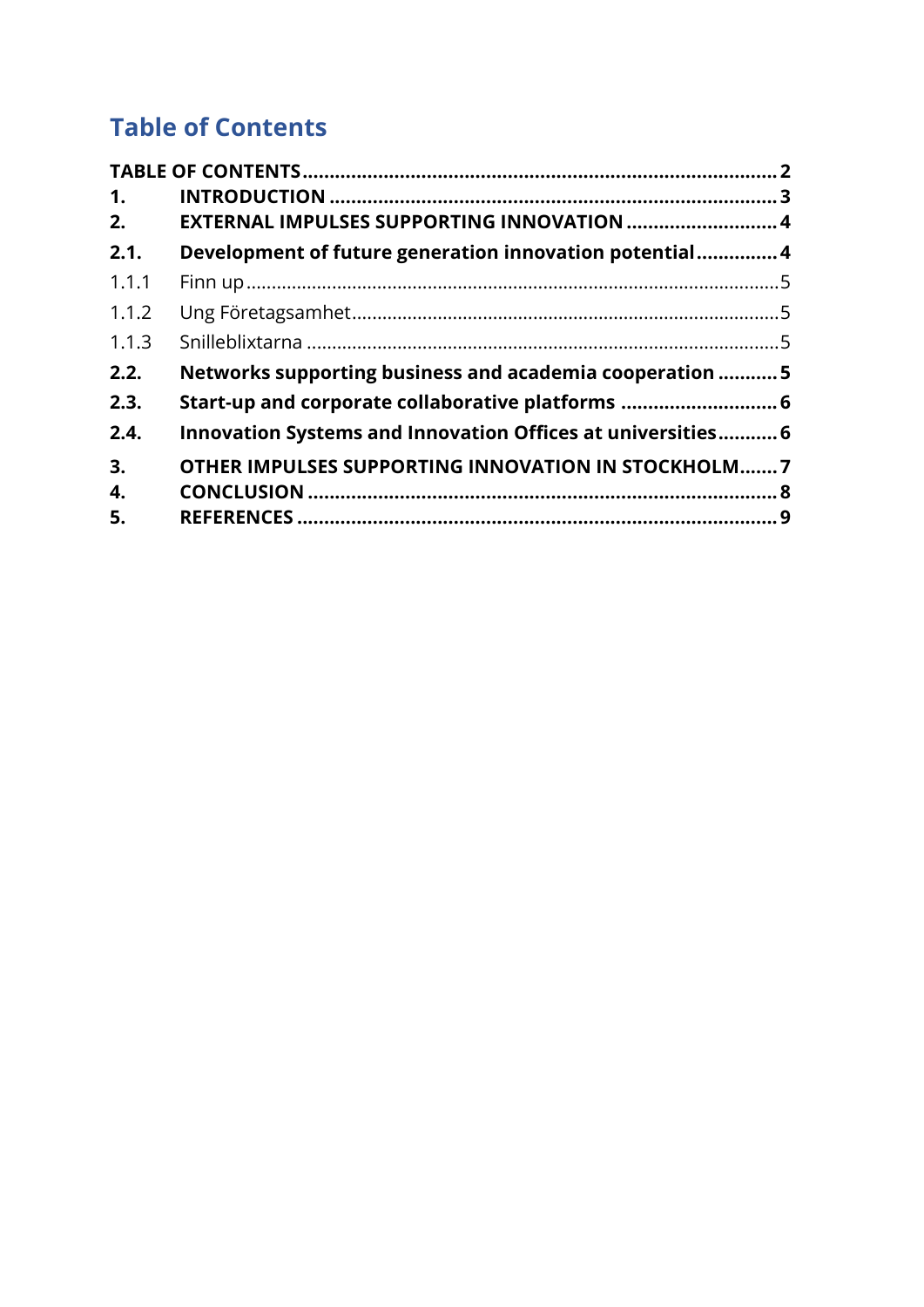# <span id="page-1-0"></span>**Table of Contents**

| 1.    |                                                             |  |
|-------|-------------------------------------------------------------|--|
| 2.    | EXTERNAL IMPULSES SUPPORTING INNOVATION  4                  |  |
| 2.1.  | Development of future generation innovation potential4      |  |
| 1.1.1 |                                                             |  |
| 1.1.2 |                                                             |  |
| 1.1.3 |                                                             |  |
| 2.2.  | Networks supporting business and academia cooperation 5     |  |
| 2.3.  | Start-up and corporate collaborative platforms  6           |  |
| 2.4.  | Innovation Systems and Innovation Offices at universities 6 |  |
| 3.    | OTHER IMPULSES SUPPORTING INNOVATION IN STOCKHOLM7          |  |
| 4.    |                                                             |  |
| 5.    |                                                             |  |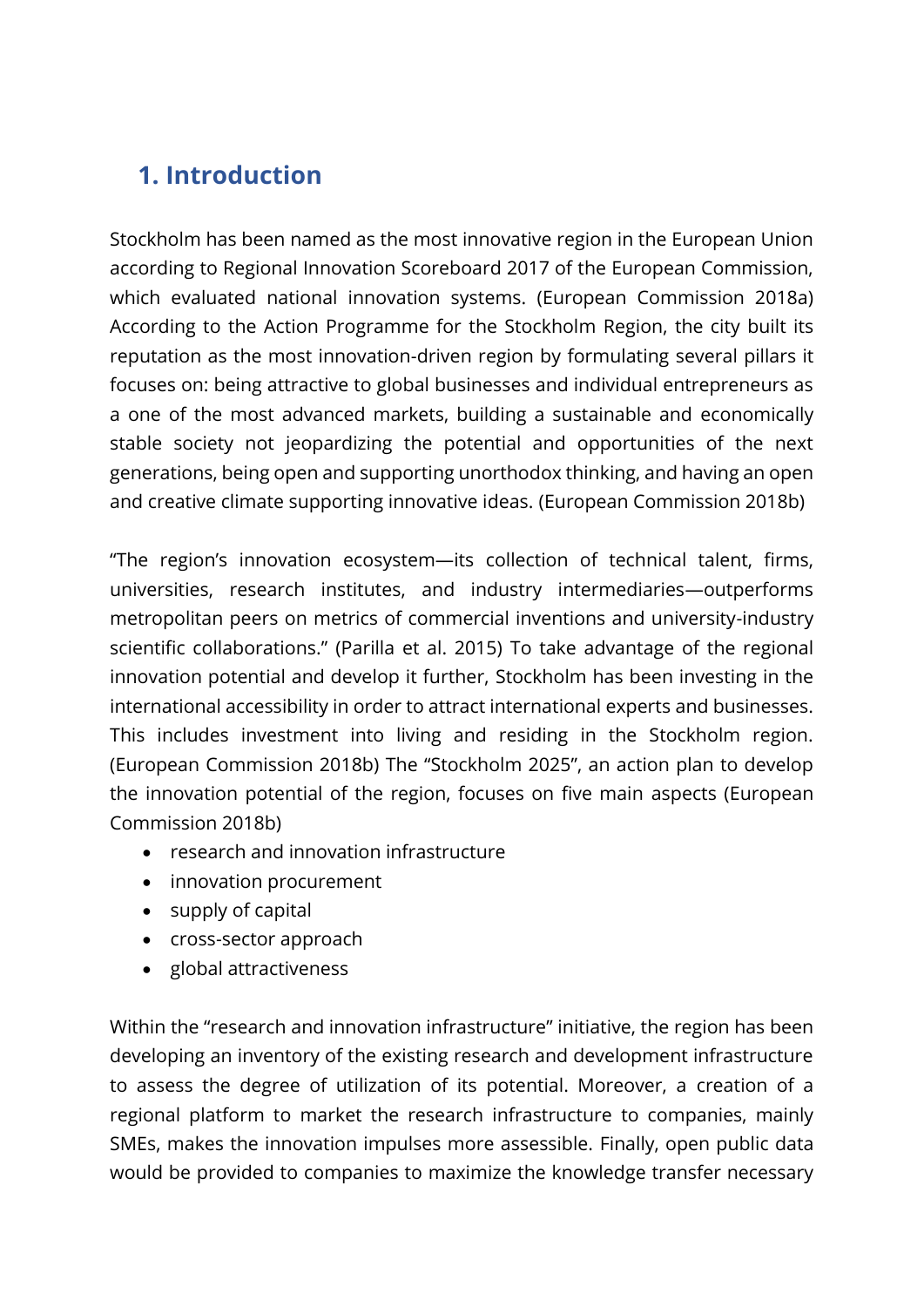# <span id="page-2-0"></span>**1. Introduction**

Stockholm has been named as the most innovative region in the European Union according to Regional Innovation Scoreboard 2017 of the European Commission, which evaluated national innovation systems. (European Commission 2018a) According to the Action Programme for the Stockholm Region, the city built its reputation as the most innovation-driven region by formulating several pillars it focuses on: being attractive to global businesses and individual entrepreneurs as a one of the most advanced markets, building a sustainable and economically stable society not jeopardizing the potential and opportunities of the next generations, being open and supporting unorthodox thinking, and having an open and creative climate supporting innovative ideas. (European Commission 2018b)

"The region's innovation ecosystem—its collection of technical talent, firms, universities, research institutes, and industry intermediaries—outperforms metropolitan peers on metrics of commercial inventions and university-industry scientific collaborations." (Parilla et al. 2015) To take advantage of the regional innovation potential and develop it further, Stockholm has been investing in the international accessibility in order to attract international experts and businesses. This includes investment into living and residing in the Stockholm region. (European Commission 2018b) The "Stockholm 2025", an action plan to develop the innovation potential of the region, focuses on five main aspects (European Commission 2018b)

- research and innovation infrastructure
- innovation procurement
- supply of capital
- cross-sector approach
- global attractiveness

Within the "research and innovation infrastructure" initiative, the region has been developing an inventory of the existing research and development infrastructure to assess the degree of utilization of its potential. Moreover, a creation of a regional platform to market the research infrastructure to companies, mainly SMEs, makes the innovation impulses more assessible. Finally, open public data would be provided to companies to maximize the knowledge transfer necessary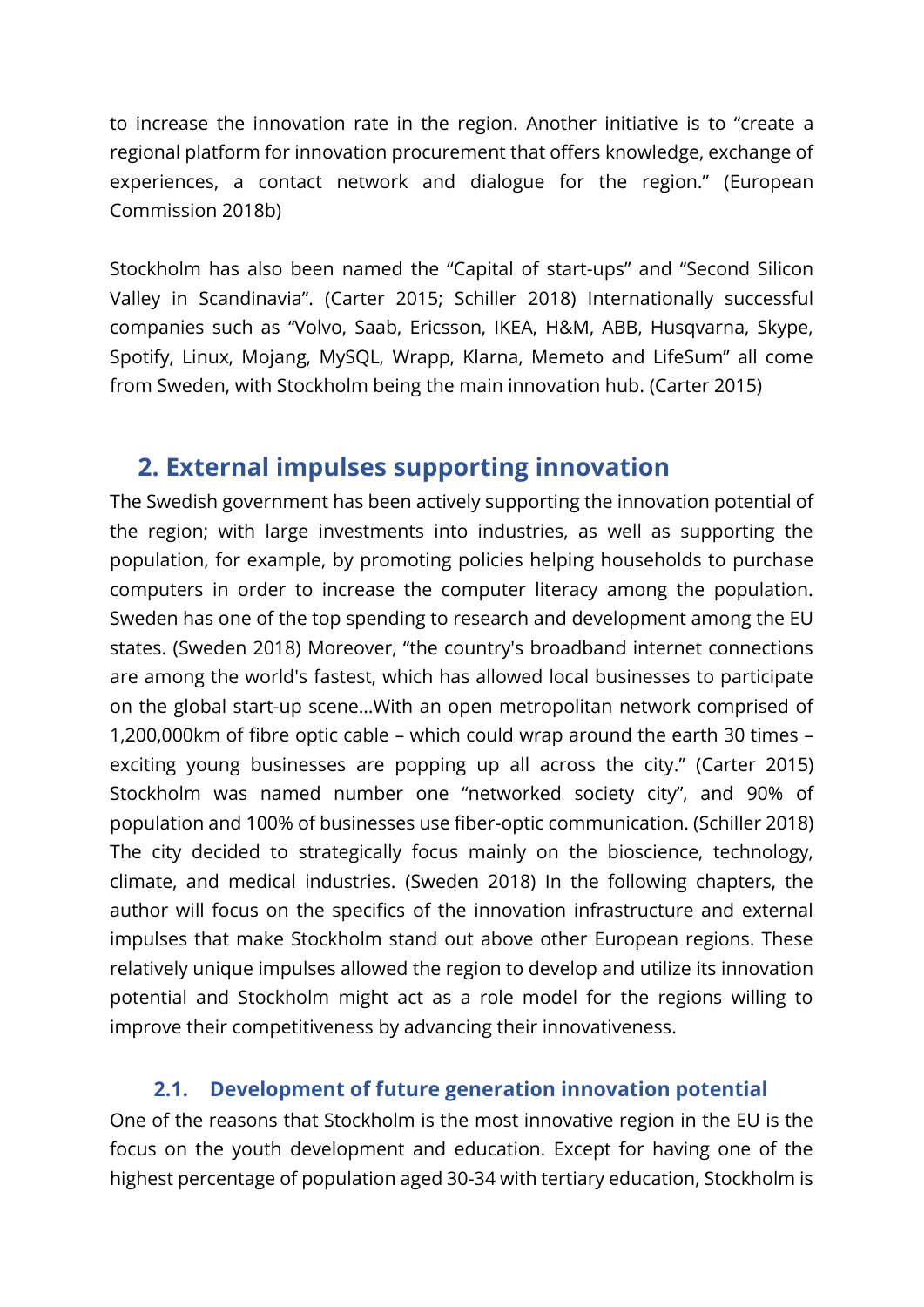to increase the innovation rate in the region. Another initiative is to "create a regional platform for innovation procurement that offers knowledge, exchange of experiences, a contact network and dialogue for the region." (European Commission 2018b)

Stockholm has also been named the "Capital of start-ups" and "Second Silicon Valley in Scandinavia". (Carter 2015; Schiller 2018) Internationally successful companies such as "Volvo, Saab, Ericsson, IKEA, H&M, ABB, Husqvarna, Skype, Spotify, Linux, Mojang, MySQL, Wrapp, Klarna, Memeto and LifeSum" all come from Sweden, with Stockholm being the main innovation hub. (Carter 2015)

### <span id="page-3-0"></span>**2. External impulses supporting innovation**

The Swedish government has been actively supporting the innovation potential of the region; with large investments into industries, as well as supporting the population, for example, by promoting policies helping households to purchase computers in order to increase the computer literacy among the population. Sweden has one of the top spending to research and development among the EU states. (Sweden 2018) Moreover, "the country's broadband internet connections are among the world's fastest, which has allowed local businesses to participate on the global start-up scene…With an open metropolitan network comprised of 1,200,000km of fibre optic cable – which could wrap around the earth 30 times – exciting young businesses are popping up all across the city." (Carter 2015) Stockholm was named number one "networked society city", and 90% of population and 100% of businesses use fiber-optic communication. (Schiller 2018) The city decided to strategically focus mainly on the bioscience, technology, climate, and medical industries. (Sweden 2018) In the following chapters, the author will focus on the specifics of the innovation infrastructure and external impulses that make Stockholm stand out above other European regions. These relatively unique impulses allowed the region to develop and utilize its innovation potential and Stockholm might act as a role model for the regions willing to improve their competitiveness by advancing their innovativeness.

### **2.1. Development of future generation innovation potential**

<span id="page-3-1"></span>One of the reasons that Stockholm is the most innovative region in the EU is the focus on the youth development and education. Except for having one of the highest percentage of population aged 30-34 with tertiary education, Stockholm is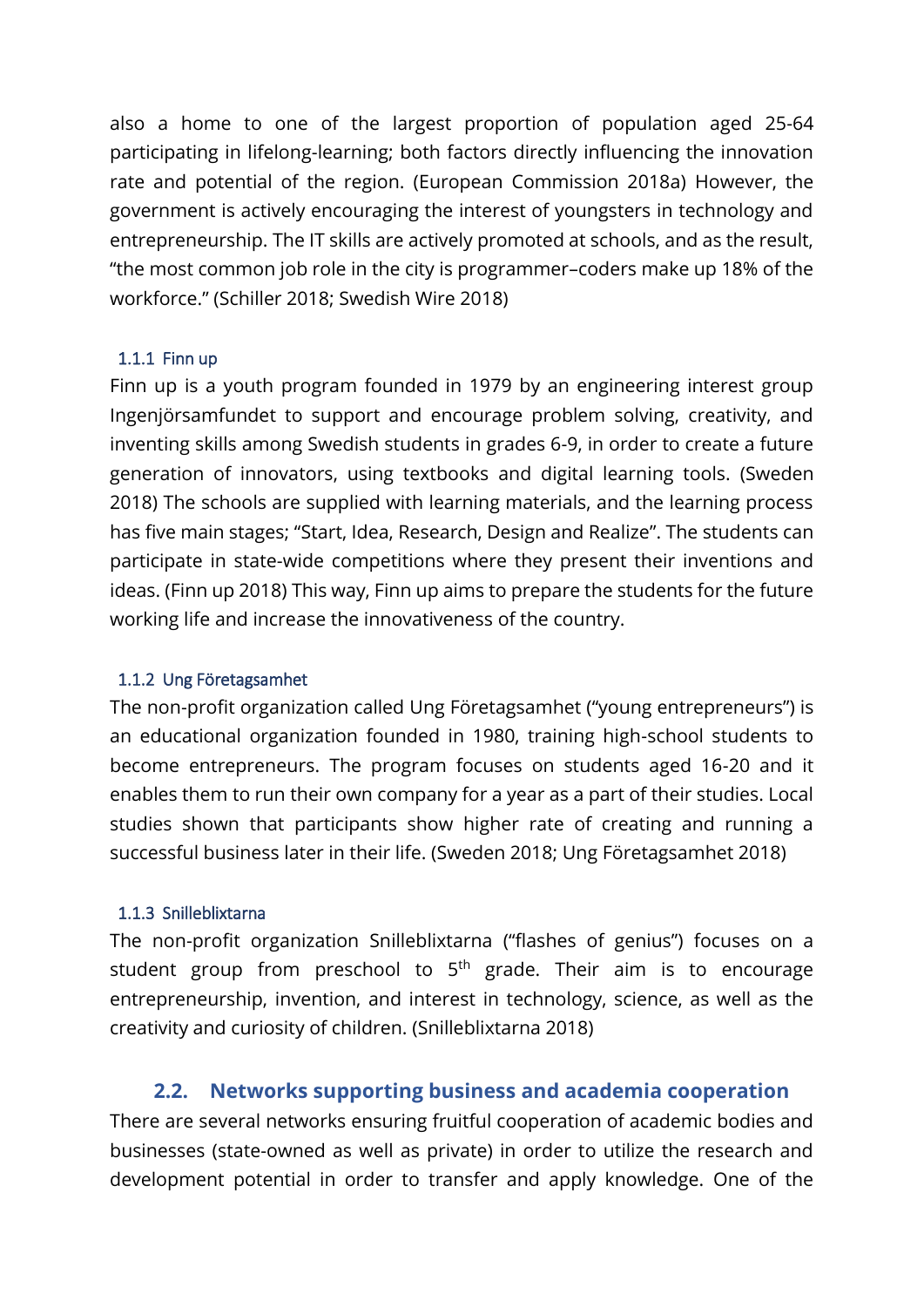also a home to one of the largest proportion of population aged 25-64 participating in lifelong-learning; both factors directly influencing the innovation rate and potential of the region. (European Commission 2018a) However, the government is actively encouraging the interest of youngsters in technology and entrepreneurship. The IT skills are actively promoted at schools, and as the result, "the most common job role in the city is programmer–coders make up 18% of the workforce." (Schiller 2018; Swedish Wire 2018)

#### <span id="page-4-0"></span>1.1.1 Finn up

Finn up is a youth program founded in 1979 by an engineering interest group Ingenjörsamfundet to support and encourage problem solving, creativity, and inventing skills among Swedish students in grades 6-9, in order to create a future generation of innovators, using textbooks and digital learning tools. (Sweden 2018) The schools are supplied with learning materials, and the learning process has five main stages; "Start, Idea, Research, Design and Realize". The students can participate in state-wide competitions where they present their inventions and ideas. (Finn up 2018) This way, Finn up aims to prepare the students for the future working life and increase the innovativeness of the country.

#### <span id="page-4-1"></span>1.1.2 Ung Företagsamhet

The non-profit organization called Ung Företagsamhet ("young entrepreneurs") is an educational organization founded in 1980, training high-school students to become entrepreneurs. The program focuses on students aged 16-20 and it enables them to run their own company for a year as a part of their studies. Local studies shown that participants show higher rate of creating and running a successful business later in their life. (Sweden 2018; Ung Företagsamhet 2018)

#### <span id="page-4-2"></span>1.1.3 Snilleblixtarna

The non-profit organization Snilleblixtarna ("flashes of genius") focuses on a student group from preschool to  $5<sup>th</sup>$  grade. Their aim is to encourage entrepreneurship, invention, and interest in technology, science, as well as the creativity and curiosity of children. (Snilleblixtarna 2018)

#### **2.2. Networks supporting business and academia cooperation**

<span id="page-4-3"></span>There are several networks ensuring fruitful cooperation of academic bodies and businesses (state-owned as well as private) in order to utilize the research and development potential in order to transfer and apply knowledge. One of the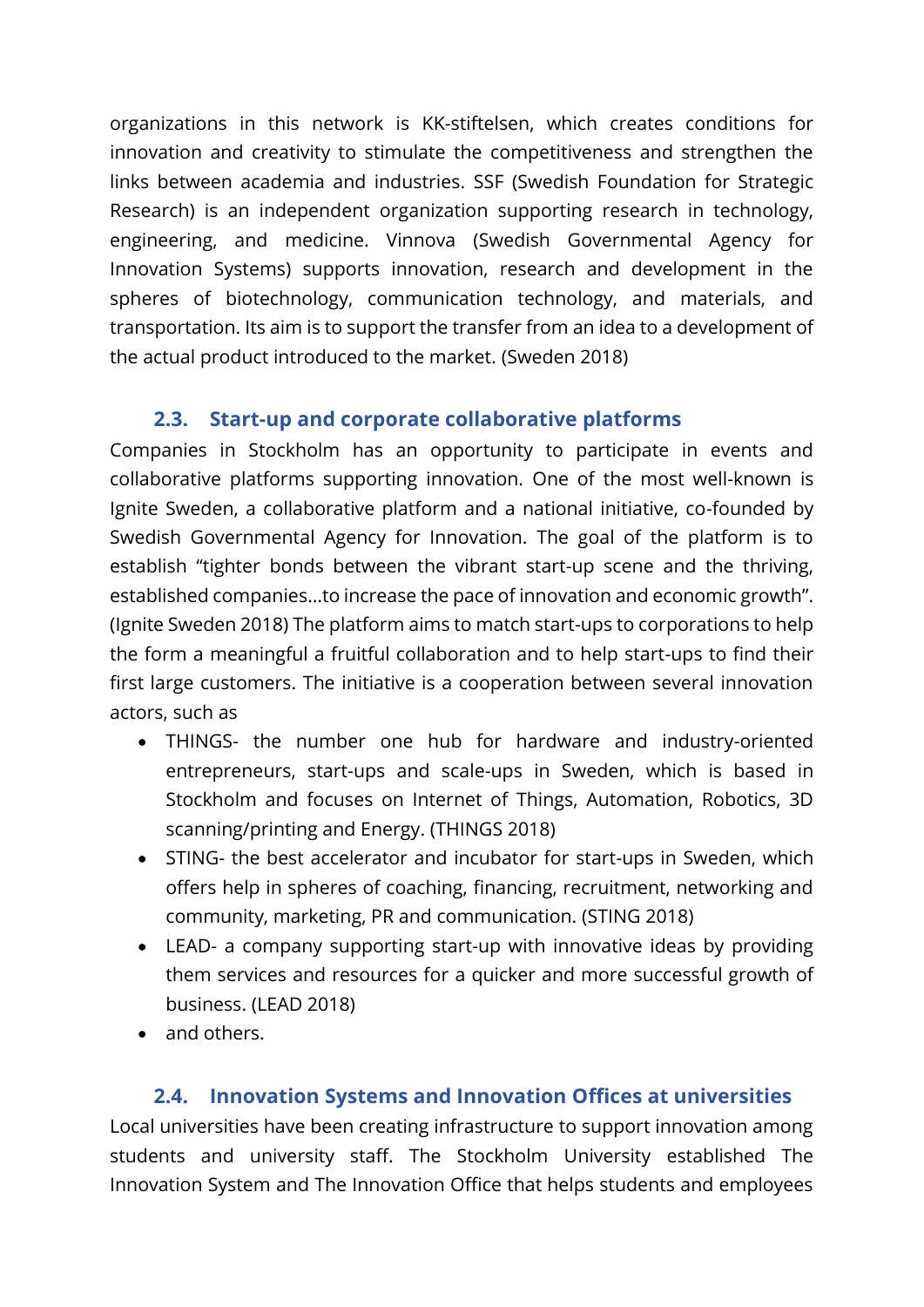organizations in this network is KK-stiftelsen, which creates conditions for innovation and creativity to stimulate the competitiveness and strengthen the links between academia and industries. SSF (Swedish Foundation for Strategic Research) is an independent organization supporting research in technology, engineering, and medicine. Vinnova (Swedish Governmental Agency for Innovation Systems) supports innovation, research and development in the spheres of biotechnology, communication technology, and materials, and transportation. Its aim is to support the transfer from an idea to a development of the actual product introduced to the market. (Sweden 2018)

### **2.3. Start-up and corporate collaborative platforms**

<span id="page-5-0"></span>Companies in Stockholm has an opportunity to participate in events and collaborative platforms supporting innovation. One of the most well-known is Ignite Sweden, a collaborative platform and a national initiative, co-founded by Swedish Governmental Agency for Innovation. The goal of the platform is to establish "tighter bonds between the vibrant start-up scene and the thriving, established companies…to increase the pace of innovation and economic growth". (Ignite Sweden 2018) The platform aims to match start-ups to corporations to help the form a meaningful a fruitful collaboration and to help start-ups to find their first large customers. The initiative is a cooperation between several innovation actors, such as

- THINGS- the number one hub for hardware and industry-oriented entrepreneurs, start-ups and scale-ups in Sweden, which is based in Stockholm and focuses on Internet of Things, Automation, Robotics, 3D scanning/printing and Energy. (THINGS 2018)
- STING- the best accelerator and incubator for start-ups in Sweden, which offers help in spheres of coaching, financing, recruitment, networking and community, marketing, PR and communication. (STING 2018)
- LEAD- a company supporting start-up with innovative ideas by providing them services and resources for a quicker and more successful growth of business. (LEAD 2018)
- and others.

### **2.4. Innovation Systems and Innovation Offices at universities**

<span id="page-5-1"></span>Local universities have been creating infrastructure to support innovation among students and university staff. The Stockholm University established The Innovation System and The Innovation Office that helps students and employees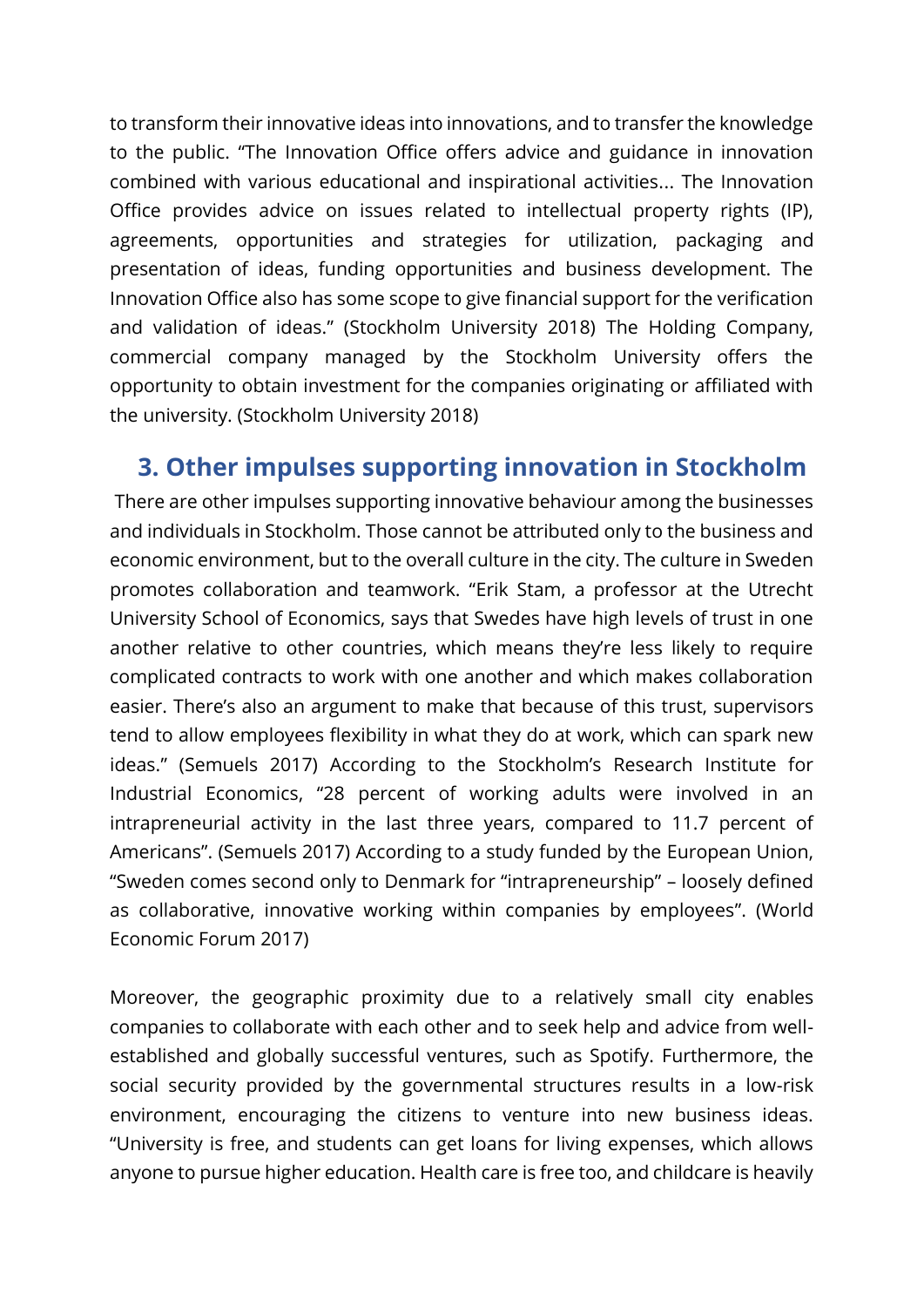to transform their innovative ideas into innovations, and to transfer the knowledge to the public. "The Innovation Office offers advice and guidance in innovation combined with various educational and inspirational activities... The Innovation Office provides advice on issues related to intellectual property rights (IP), agreements, opportunities and strategies for utilization, packaging and presentation of ideas, funding opportunities and business development. The Innovation Office also has some scope to give financial support for the verification and validation of ideas." (Stockholm University 2018) The Holding Company, commercial company managed by the Stockholm University offers the opportunity to obtain investment for the companies originating or affiliated with the university. (Stockholm University 2018)

### <span id="page-6-0"></span>**3. Other impulses supporting innovation in Stockholm**

There are other impulses supporting innovative behaviour among the businesses and individuals in Stockholm. Those cannot be attributed only to the business and economic environment, but to the overall culture in the city. The culture in Sweden promotes collaboration and teamwork. "Erik Stam, a professor at the Utrecht University School of Economics, says that Swedes have high levels of trust in one another relative to other countries, which means they're less likely to require complicated contracts to work with one another and which makes collaboration easier. There's also an argument to make that because of this trust, supervisors tend to allow employees flexibility in what they do at work, which can spark new ideas." (Semuels 2017) According to the Stockholm's Research Institute for Industrial Economics, "28 percent of working adults were involved in an intrapreneurial activity in the last three years, compared to 11.7 percent of Americans". (Semuels 2017) According to a study funded by the European Union, "Sweden comes second only to Denmark for "intrapreneurship" – loosely defined as collaborative, innovative working within companies by employees". (World Economic Forum 2017)

Moreover, the geographic proximity due to a relatively small city enables companies to collaborate with each other and to seek help and advice from wellestablished and globally successful ventures, such as Spotify. Furthermore, the social security provided by the governmental structures results in a low-risk environment, encouraging the citizens to venture into new business ideas. "University is free, and students can get loans for living expenses, which allows anyone to pursue higher education. Health care is free too, and childcare is heavily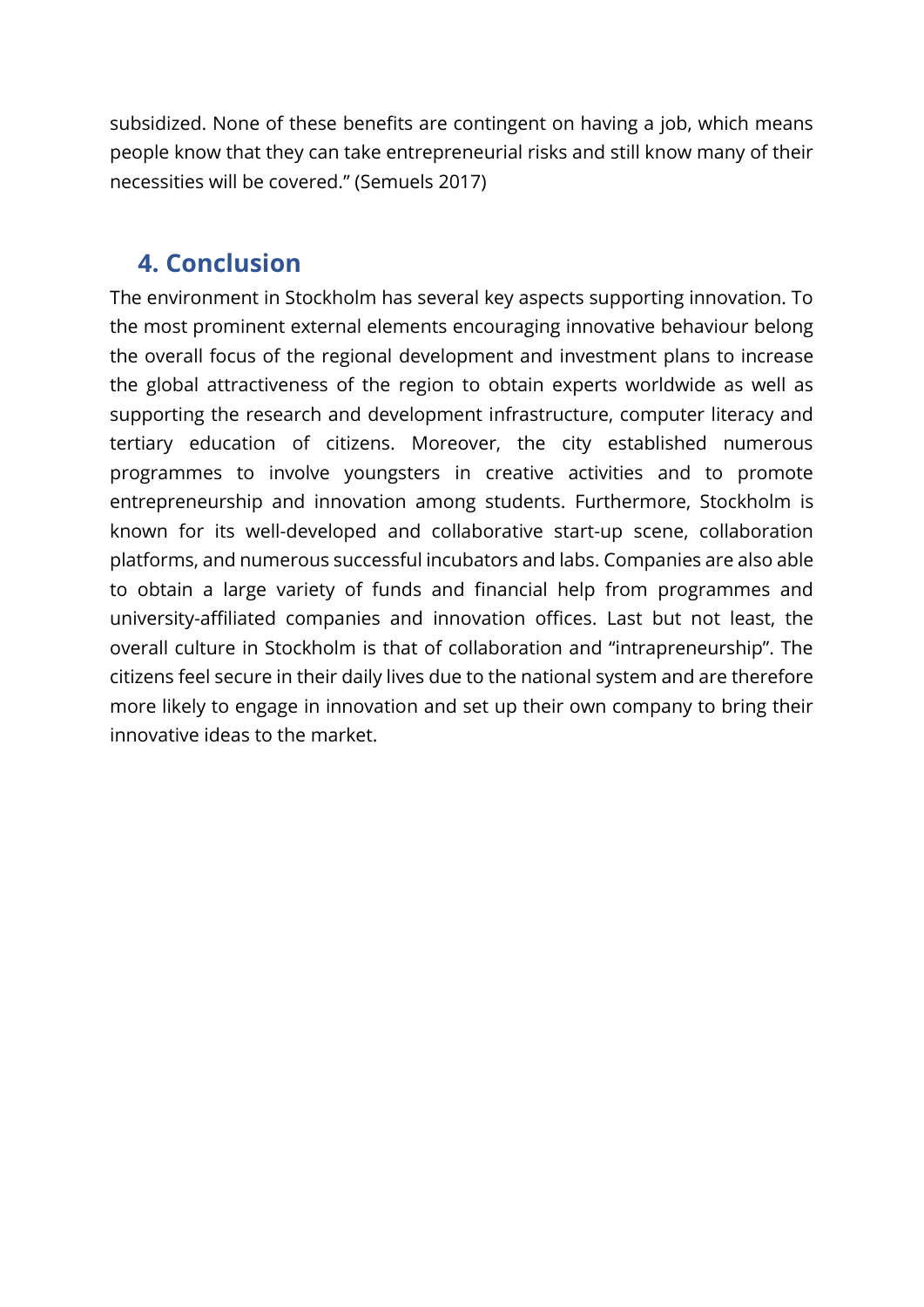subsidized. None of these benefits are contingent on having a job, which means people know that they can take entrepreneurial risks and still know many of their necessities will be covered." (Semuels 2017)

## <span id="page-7-0"></span>**4. Conclusion**

The environment in Stockholm has several key aspects supporting innovation. To the most prominent external elements encouraging innovative behaviour belong the overall focus of the regional development and investment plans to increase the global attractiveness of the region to obtain experts worldwide as well as supporting the research and development infrastructure, computer literacy and tertiary education of citizens. Moreover, the city established numerous programmes to involve youngsters in creative activities and to promote entrepreneurship and innovation among students. Furthermore, Stockholm is known for its well-developed and collaborative start-up scene, collaboration platforms, and numerous successful incubators and labs. Companies are also able to obtain a large variety of funds and financial help from programmes and university-affiliated companies and innovation offices. Last but not least, the overall culture in Stockholm is that of collaboration and "intrapreneurship". The citizens feel secure in their daily lives due to the national system and are therefore more likely to engage in innovation and set up their own company to bring their innovative ideas to the market.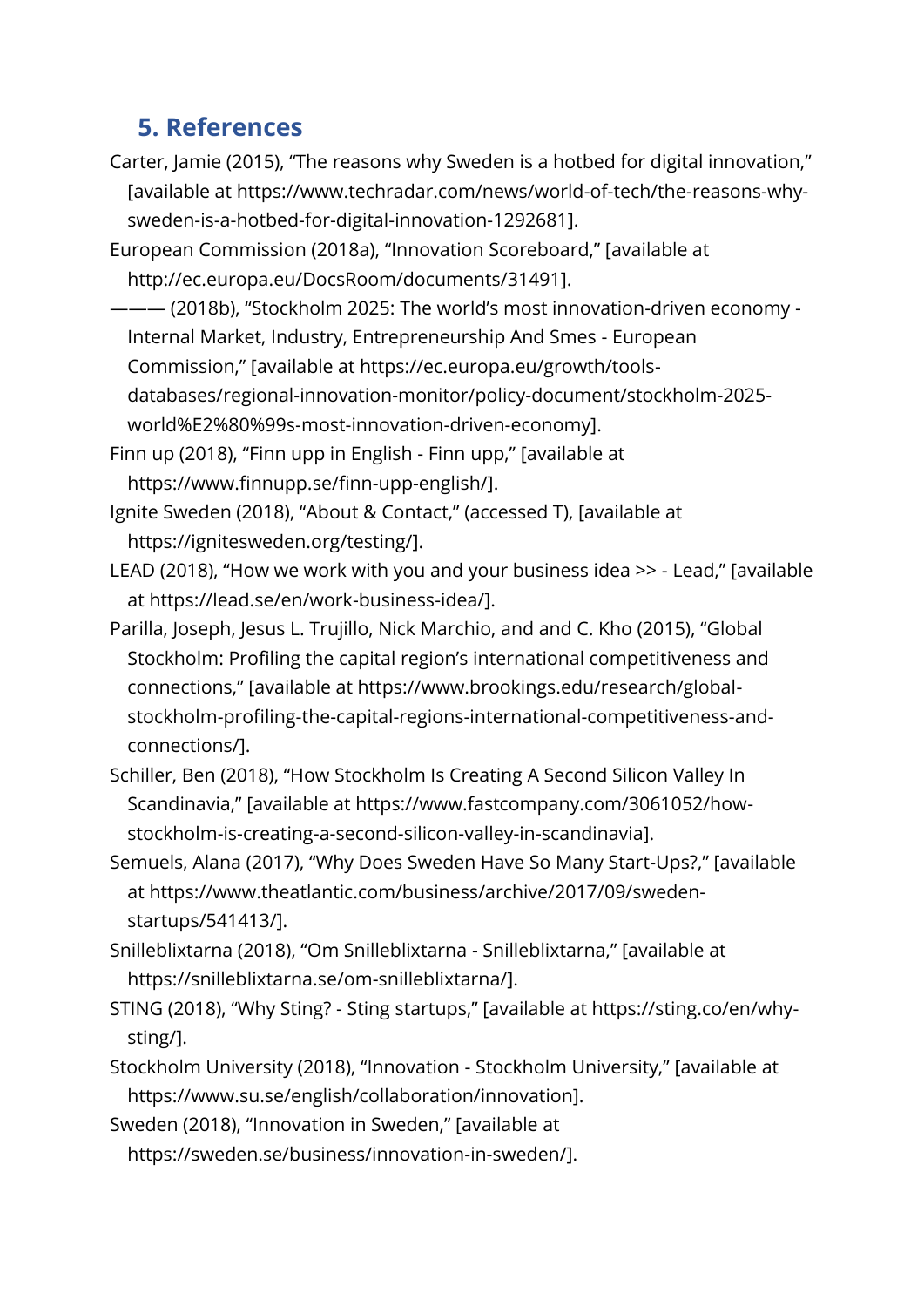## <span id="page-8-0"></span>**5. References**

- Carter, Jamie (2015), "The reasons why Sweden is a hotbed for digital innovation," [available at https://www.techradar.com/news/world-of-tech/the-reasons-whysweden-is-a-hotbed-for-digital-innovation-1292681].
- European Commission (2018a), "Innovation Scoreboard," [available at http://ec.europa.eu/DocsRoom/documents/31491].
- ——— (2018b), "Stockholm 2025: The world's most innovation-driven economy Internal Market, Industry, Entrepreneurship And Smes - European Commission," [available at https://ec.europa.eu/growth/toolsdatabases/regional-innovation-monitor/policy-document/stockholm-2025 world%E2%80%99s-most-innovation-driven-economy].
- Finn up (2018), "Finn upp in English Finn upp," [available at https://www.finnupp.se/finn-upp-english/].
- Ignite Sweden (2018), "About & Contact," (accessed T), [available at https://ignitesweden.org/testing/].
- LEAD (2018), "How we work with you and your business idea >> Lead," [available at https://lead.se/en/work-business-idea/].
- Parilla, Joseph, Jesus L. Trujillo, Nick Marchio, and and C. Kho (2015), "Global Stockholm: Profiling the capital region's international competitiveness and connections," [available at https://www.brookings.edu/research/globalstockholm-profiling-the-capital-regions-international-competitiveness-andconnections/].
- Schiller, Ben (2018), "How Stockholm Is Creating A Second Silicon Valley In Scandinavia," [available at https://www.fastcompany.com/3061052/howstockholm-is-creating-a-second-silicon-valley-in-scandinavia].
- Semuels, Alana (2017), "Why Does Sweden Have So Many Start-Ups?," [available at https://www.theatlantic.com/business/archive/2017/09/swedenstartups/541413/].
- Snilleblixtarna (2018), "Om Snilleblixtarna Snilleblixtarna," [available at https://snilleblixtarna.se/om-snilleblixtarna/].
- STING (2018), "Why Sting? Sting startups," [available at https://sting.co/en/whysting/].
- Stockholm University (2018), "Innovation Stockholm University," [available at https://www.su.se/english/collaboration/innovation].
- Sweden (2018), "Innovation in Sweden," [available at
	- https://sweden.se/business/innovation-in-sweden/].